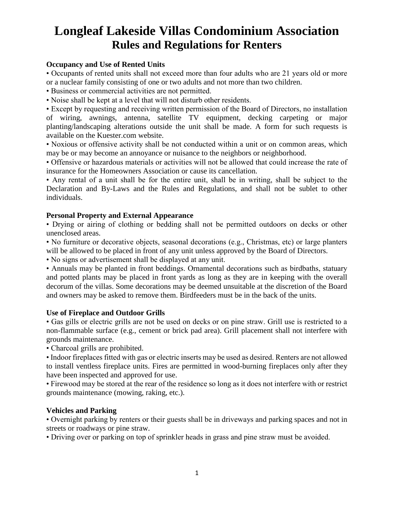## **Longleaf Lakeside Villas Condominium Association Rules and Regulations for Renters**

### **Occupancy and Use of Rented Units**

• Occupants of rented units shall not exceed more than four adults who are 21 years old or more or a nuclear family consisting of one or two adults and not more than two children.

- Business or commercial activities are not permitted.
- Noise shall be kept at a level that will not disturb other residents.

• Except by requesting and receiving written permission of the Board of Directors, no installation of wiring, awnings, antenna, satellite TV equipment, decking carpeting or major planting/landscaping alterations outside the unit shall be made. A form for such requests is available on the Kuester.com website.

• Noxious or offensive activity shall be not conducted within a unit or on common areas, which may be or may become an annoyance or nuisance to the neighbors or neighborhood.

• Offensive or hazardous materials or activities will not be allowed that could increase the rate of insurance for the Homeowners Association or cause its cancellation.

• Any rental of a unit shall be for the entire unit, shall be in writing, shall be subject to the Declaration and By-Laws and the Rules and Regulations, and shall not be sublet to other individuals.

### **Personal Property and External Appearance**

• Drying or airing of clothing or bedding shall not be permitted outdoors on decks or other unenclosed areas.

• No furniture or decorative objects, seasonal decorations (e.g., Christmas, etc) or large planters will be allowed to be placed in front of any unit unless approved by the Board of Directors.

• No signs or advertisement shall be displayed at any unit.

• Annuals may be planted in front beddings. Ornamental decorations such as birdbaths, statuary and potted plants may be placed in front yards as long as they are in keeping with the overall decorum of the villas. Some decorations may be deemed unsuitable at the discretion of the Board and owners may be asked to remove them. Birdfeeders must be in the back of the units.

### **Use of Fireplace and Outdoor Grills**

• Gas gills or electric grills are not be used on decks or on pine straw. Grill use is restricted to a non-flammable surface (e.g., cement or brick pad area). Grill placement shall not interfere with grounds maintenance.

• Charcoal grills are prohibited.

• Indoor fireplaces fitted with gas or electric inserts may be used as desired. Renters are not allowed to install ventless fireplace units. Fires are permitted in wood-burning fireplaces only after they have been inspected and approved for use.

• Firewood may be stored at the rear of the residence so long as it does not interfere with or restrict grounds maintenance (mowing, raking, etc.).

### **Vehicles and Parking**

• Overnight parking by renters or their guests shall be in driveways and parking spaces and not in streets or roadways or pine straw.

• Driving over or parking on top of sprinkler heads in grass and pine straw must be avoided.